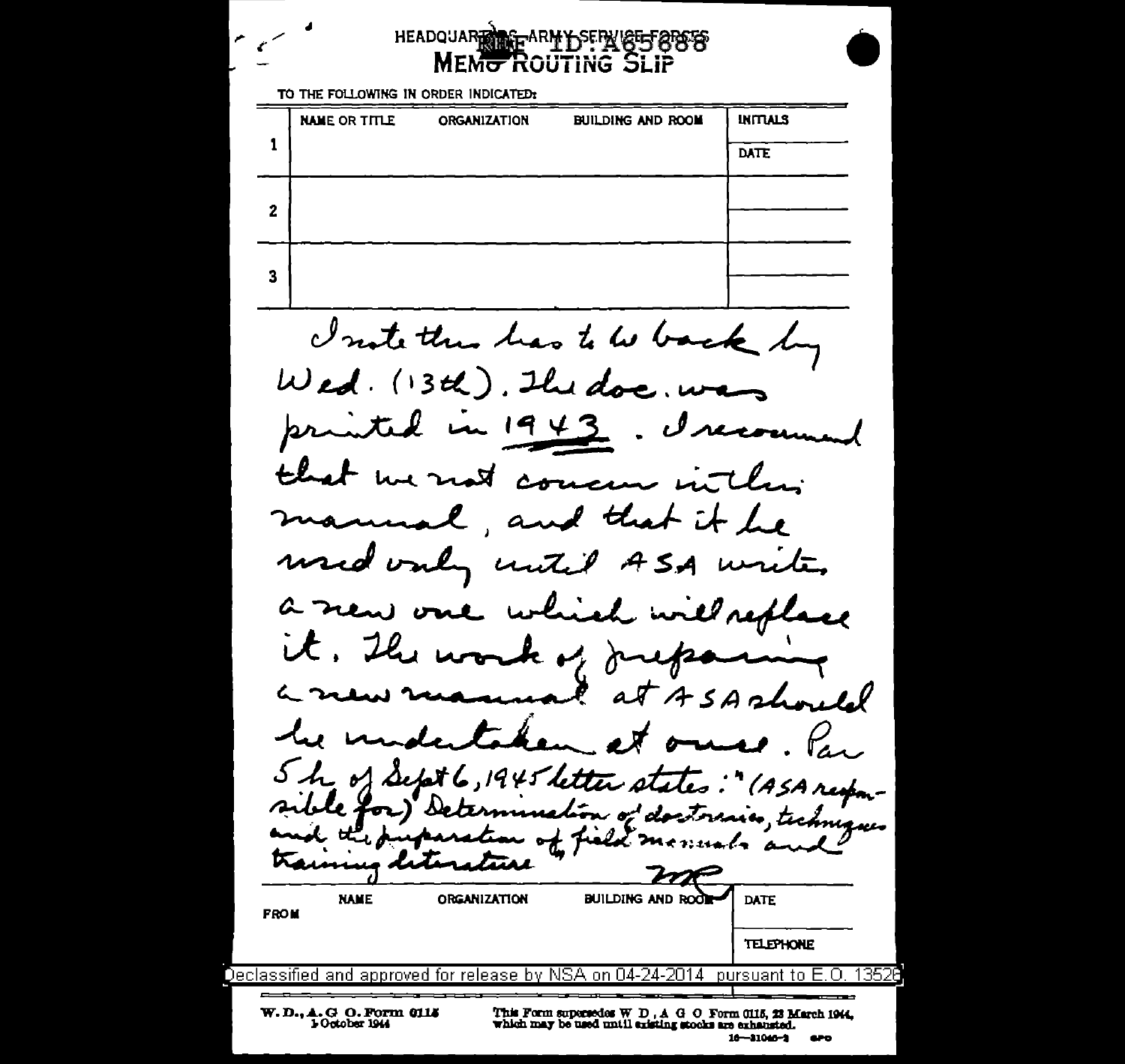## HEADQUARE REFARMY SERVEET 885 MEMO ROUTING SLIP

TO THE FOLLOWING IN ORDER INDICATED:

|   | <b>NAME OR TITLE</b> | <b>ORGANIZATION</b> | <b>BUILDING AND ROOM</b> | <b>INITIALS</b> |
|---|----------------------|---------------------|--------------------------|-----------------|
|   |                      |                     |                          | <b>DATE</b>     |
|   |                      |                     |                          |                 |
| 2 |                      |                     |                          |                 |
|   |                      |                     |                          |                 |
| 3 |                      |                     |                          |                 |

I note than has to be back by  $W$ ed. (13th). The doc. w printed  $4443$ mund that we not concen in the manua I and that it be used only until ASA w rete, which will replace a new one it. The work of Jupa are ASAshould aT he unde et ons. Var 5 h of Sept 6, 1945 letter states: " (ASA responof dostorias, techniques طط ملٽن of feeld monuals and Traunus dete **Tial NAME ORGANIZATION BUILDING AND ROOF DATE FROM TELEPHONE** Declassified and approved for release by NSA on 04-24-2014. pursuant to  $E$ .  $O$ . 13520 W.D., A.G.O. Form 0115 This Form supersedes  $W D$ ,  $A G O$  Form 0115, 23 March 1944, which may be used until existing stocks are exhausted.

 $16 - 31046 - 3$  $\mathbf{e}$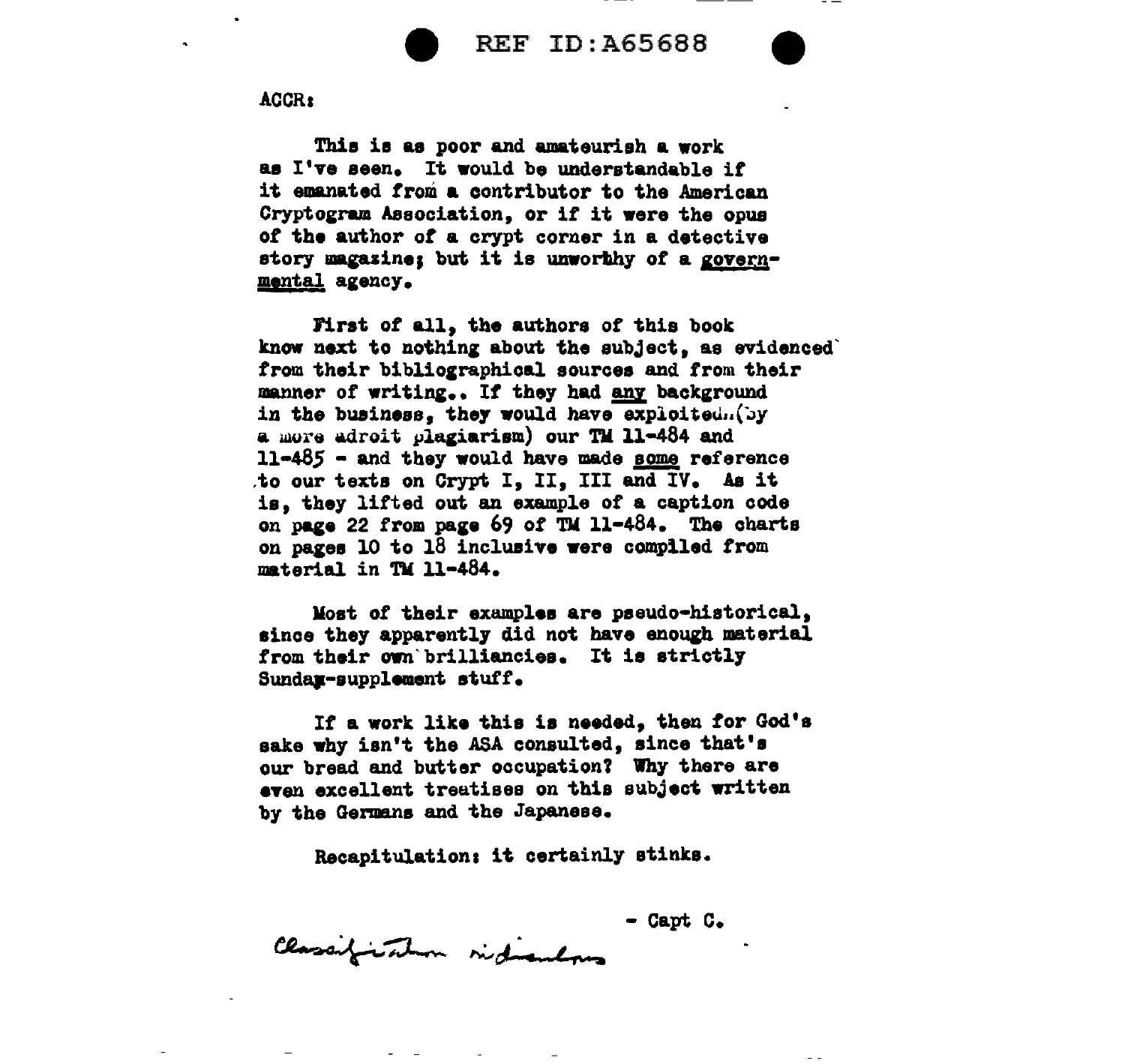

**REF ID: A65688** 

ACCR:

This is as poor and amateurish a work as I've seen. It would be understandable if it emanated from a contributor to the American Cryptogram Association, or if it were the opus of the author of a crypt corner in a detective story magazine; but it is unworthy of a governmental agency.

First of all, the authors of this book know next to nothing about the subject, as evidenced from their bibliographical sources and from their manner of writing.. If they had any background in the business, they would have exploited. (by a more adroit plagiarism) our TM 11-484 and  $11-485$  - and they would have made some reference to our texts on Crypt I. II. III and IV. As it is, they lifted out an example of a caption code on page 22 from page 69 of TM 11-484. The charts on pages 10 to 18 inclusive were compiled from material in TM 11-484.

Most of their examples are pseudo-historical, since they apparently did not have enough material from their own brilliancies. It is strictly Sundax-supplement stuff.

If a work like this is needed, then for God's sake why isn't the ASA consulted, since that's our bread and butter occupation? Why there are even excellent treatises on this subject written by the Germans and the Japanese.

Recapitulation: it certainly stinks.

- Capt C.

Classification indications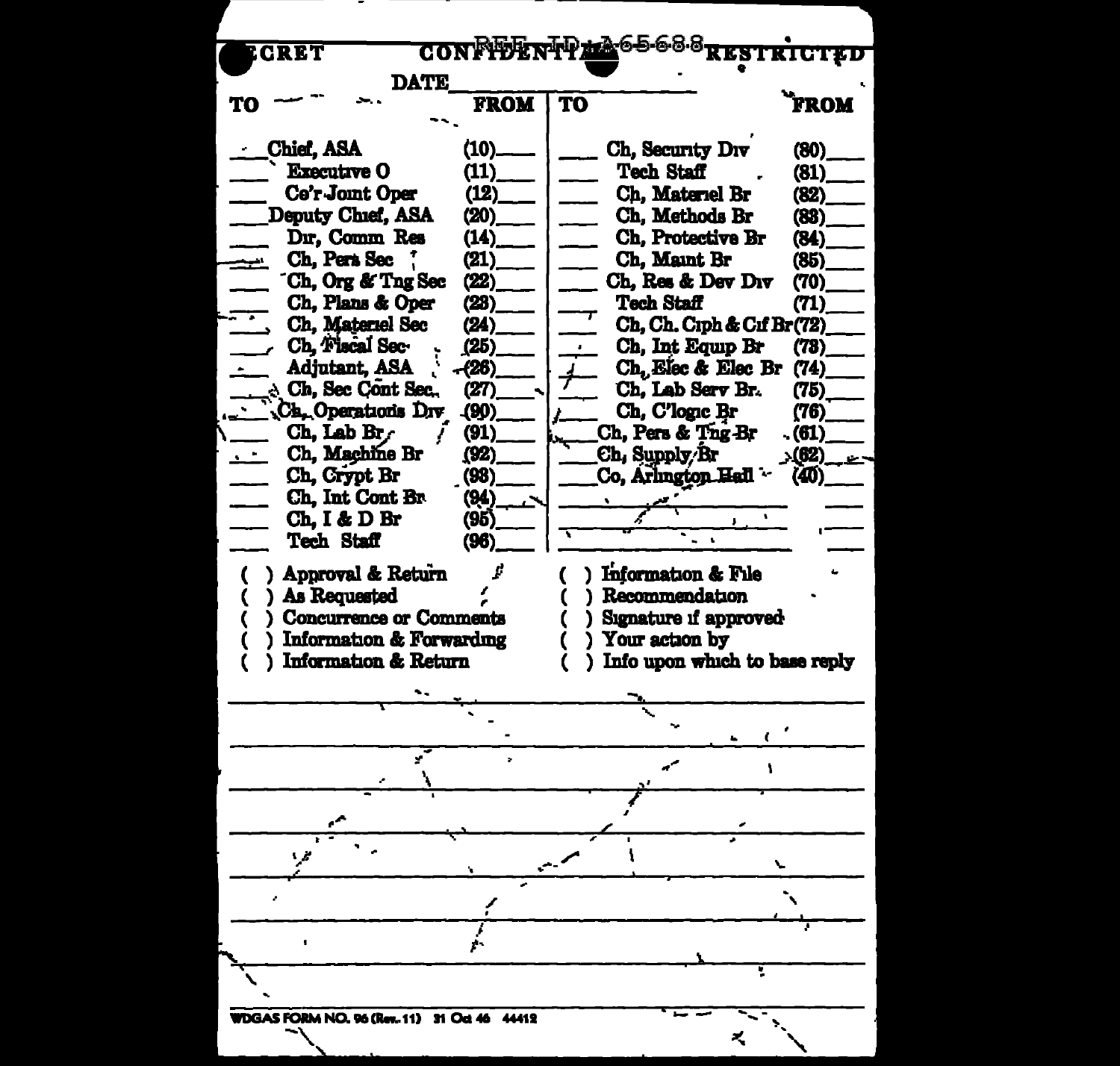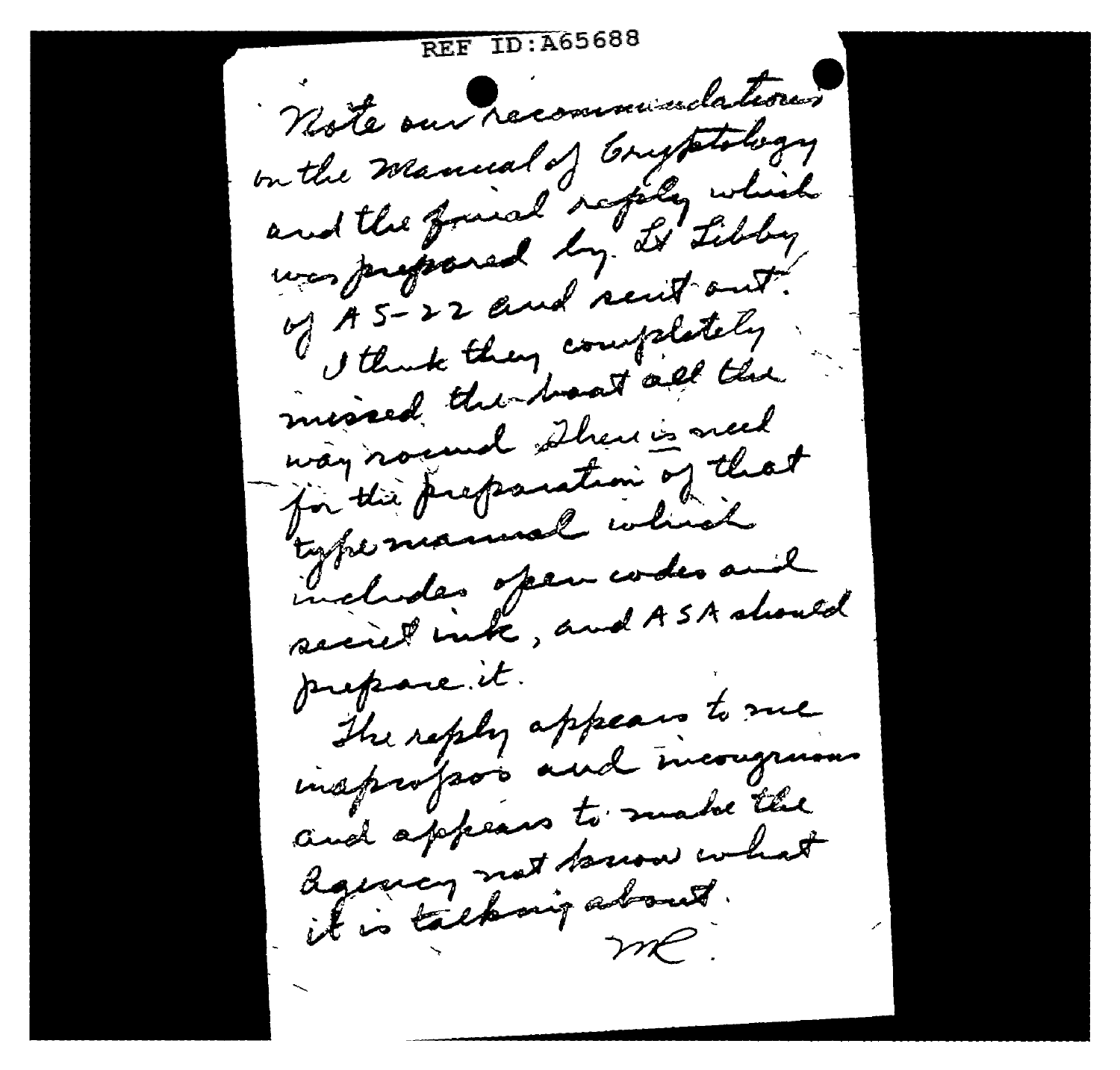REF ID:A65688 Note our recommunications mitte manual of brusthelogy on the meanwal softly which was proposed in resistant. A 5 - 22 ama completely " that they went all the messed and shew is need way now the free found on that for this pregnance inherit includes open codes and suchades of and ASA should prepare.it. The reply appears to me insprofsor and incorporate und appears to make the and appears arow what donney manigations.  $m$  $e$ .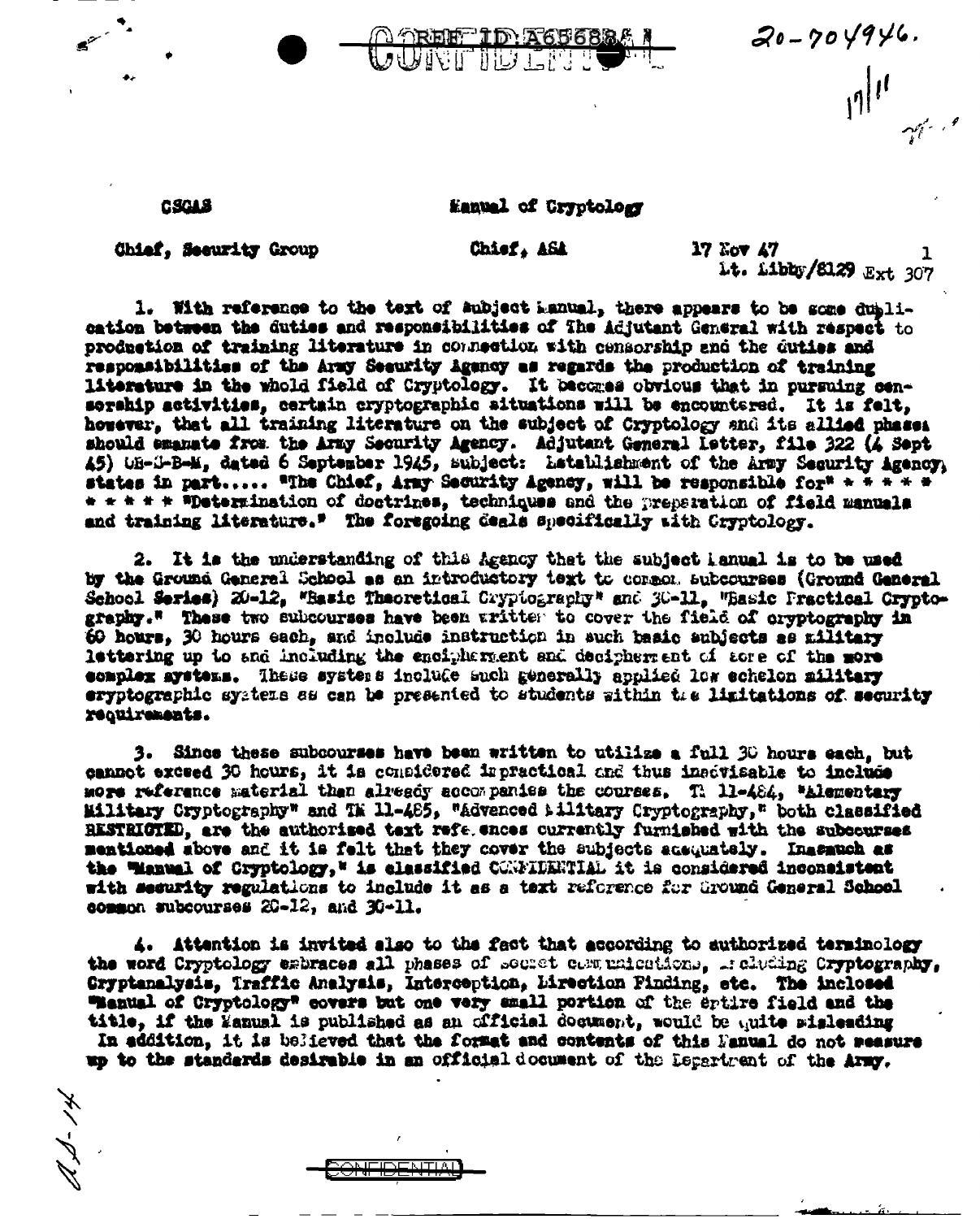

CSCAS

## Manuel of Cryptology

Chief. Security Group

Chief, ASA

**17 Yov 47** Lt. Libbs/8129 Ext 307

1. With reference to the text of subject Lanual, there appears to be some dublication between the duties and responsibilities of The Adjutant General with respect to production of training literature in connection with censorship and the duties and responsibilities of the Army Seeurity Agency as regards the production of training literature in the whold field of Cryptology. It becomes obvious that in pursuing censorship activities, certain cryptographic situations will be encountered. It is felt. however, that all training literature on the subject of Cryptology and its allied phases should emanate from the Army Security Agency. Adjutant General Istter, file 322 (A Sept 45) OB-S-B-M, dated 6 September 1945, subject: Latablishment of the Army Security Agency, states in part..... "The Chief, Army Security Agency, will be responsible for" + + + + + \* \* \* \* \* \*Determination of doctrines, techniques and the preparation of field manuals and training literature." The foregoing deals specifically with Cryptology.

2. It is the understanding of this Agency thet the subject lanual is to be used by the Ground General School as an introductory text to comeon subcourses (Ground General School Series) 20-12, "Basic Theoretical Cryptography" and 30-11. "Basic Practical Cryptography." These two subcourses have been written to cover the field of oryptography in 60 hours. 30 hours each, and include instruction in such basic subjects as military lettering up to and including the encipherment and decipherment of acre of the more complex avetems. These systems include auch generally applied low echelon military eryptographic systems as can be presented to students within the limitations of security requirements.

3. Since these subcourses have been written to utilize a full 30 hours each, but cannot exceed 30 hours, it is considered impractical and thus inscyleable to include more reference material than already accompanies the courses. Th 11-484, "Alementary Military Cryptography" and TM 11-485, "Advenced Military Cryptography," both classified RESTRICTED, are the authorised text refe ences currently furnished with the subcourses mentioned above and it is felt that they cover the subjects acsumately. Inasauch as the Wanual of Cryptology," is classified CONFIDENTIAL it is considered inconsistent with security regulations to include it as a text reforence for Ground General School common subcourses 20-12, and 30-11.

4. Attention is invited also to the fact that according to authorized terminology the word Cryptology esbraces all phases of secret communications. Including Cryptography. Gryptenalysis, Traffic Analysis, Interception, Lirection Finding, etc. The inclosed "Manual of Cryptology" covers but one very small portion of the ertire field and the title, if the Wanual is published as an official document, would be unite sisleading In addition, it is believed that the format and contents of this Danual do not weasure up to the standards desirable in an official document of the Department of the Army.

NITIAI